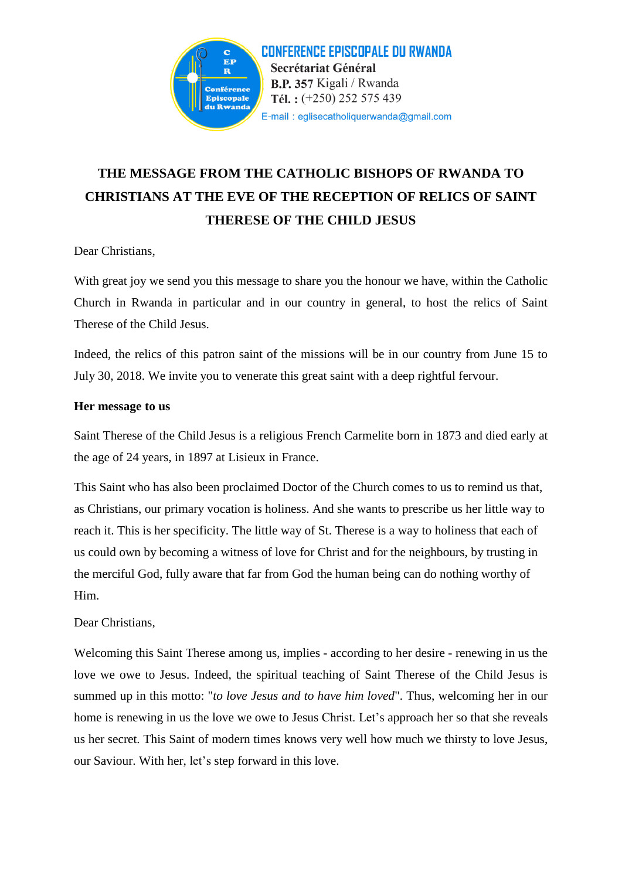

# **THE MESSAGE FROM THE CATHOLIC BISHOPS OF RWANDA TO CHRISTIANS AT THE EVE OF THE RECEPTION OF RELICS OF SAINT THERESE OF THE CHILD JESUS**

## Dear Christians,

With great joy we send you this message to share you the honour we have, within the Catholic Church in Rwanda in particular and in our country in general, to host the relics of Saint Therese of the Child Jesus.

Indeed, the relics of this patron saint of the missions will be in our country from June 15 to July 30, 2018. We invite you to venerate this great saint with a deep rightful fervour.

### **Her message to us**

Saint Therese of the Child Jesus is a religious French Carmelite born in 1873 and died early at the age of 24 years, in 1897 at Lisieux in France.

This Saint who has also been proclaimed Doctor of the Church comes to us to remind us that, as Christians, our primary vocation is holiness. And she wants to prescribe us her little way to reach it. This is her specificity. The little way of St. Therese is a way to holiness that each of us could own by becoming a witness of love for Christ and for the neighbours, by trusting in the merciful God, fully aware that far from God the human being can do nothing worthy of Him.

## Dear Christians,

Welcoming this Saint Therese among us, implies - according to her desire - renewing in us the love we owe to Jesus. Indeed, the spiritual teaching of Saint Therese of the Child Jesus is summed up in this motto: "*to love Jesus and to have him loved*". Thus, welcoming her in our home is renewing in us the love we owe to Jesus Christ. Let's approach her so that she reveals us her secret. This Saint of modern times knows very well how much we thirsty to love Jesus, our Saviour. With her, let's step forward in this love.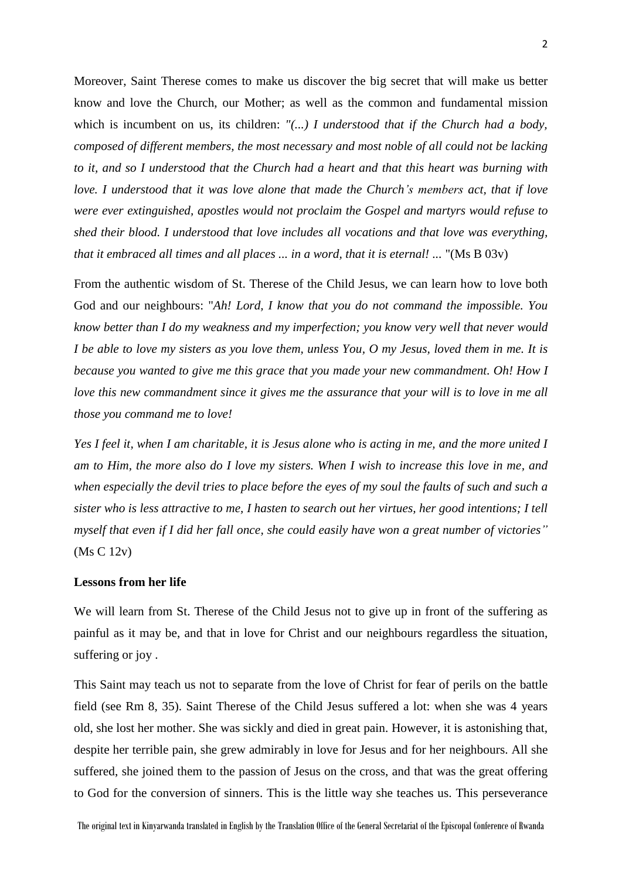Moreover, Saint Therese comes to make us discover the big secret that will make us better know and love the Church, our Mother; as well as the common and fundamental mission which is incumbent on us, its children: *"(...) I understood that if the Church had a body*, *composed of different members, the most necessary and most noble of all could not be lacking to it, and so I understood that the Church had a heart and that this heart was burning with love. I understood that it was love alone that made the Church's members act, that if love were ever extinguished, apostles would not proclaim the Gospel and martyrs would refuse to shed their blood. I understood that love includes all vocations and that love was everything, that it embraced all times and all places ... in a word, that it is eternal! ...* "(Ms B 03v)

From the authentic wisdom of St. Therese of the Child Jesus, we can learn how to love both God and our neighbours: "*Ah! Lord, I know that you do not command the impossible. You know better than I do my weakness and my imperfection; you know very well that never would I be able to love my sisters as you love them, unless You, O my Jesus, loved them in me. It is because you wanted to give me this grace that you made your new commandment. Oh! How I love this new commandment since it gives me the assurance that your will is to love in me all those you command me to love!*

*Yes I feel it, when I am charitable, it is Jesus alone who is acting in me, and the more united I am to Him, the more also do I love my sisters. When I wish to increase this love in me, and when especially the devil tries to place before the eyes of my soul the faults of such and such a sister who is less attractive to me, I hasten to search out her virtues, her good intentions; I tell myself that even if I did her fall once, she could easily have won a great number of victories"* (Ms C 12v)

#### **Lessons from her life**

We will learn from St. Therese of the Child Jesus not to give up in front of the suffering as painful as it may be, and that in love for Christ and our neighbours regardless the situation, suffering or joy .

This Saint may teach us not to separate from the love of Christ for fear of perils on the battle field (see Rm 8, 35). Saint Therese of the Child Jesus suffered a lot: when she was 4 years old, she lost her mother. She was sickly and died in great pain. However, it is astonishing that, despite her terrible pain, she grew admirably in love for Jesus and for her neighbours. All she suffered, she joined them to the passion of Jesus on the cross, and that was the great offering to God for the conversion of sinners. This is the little way she teaches us. This perseverance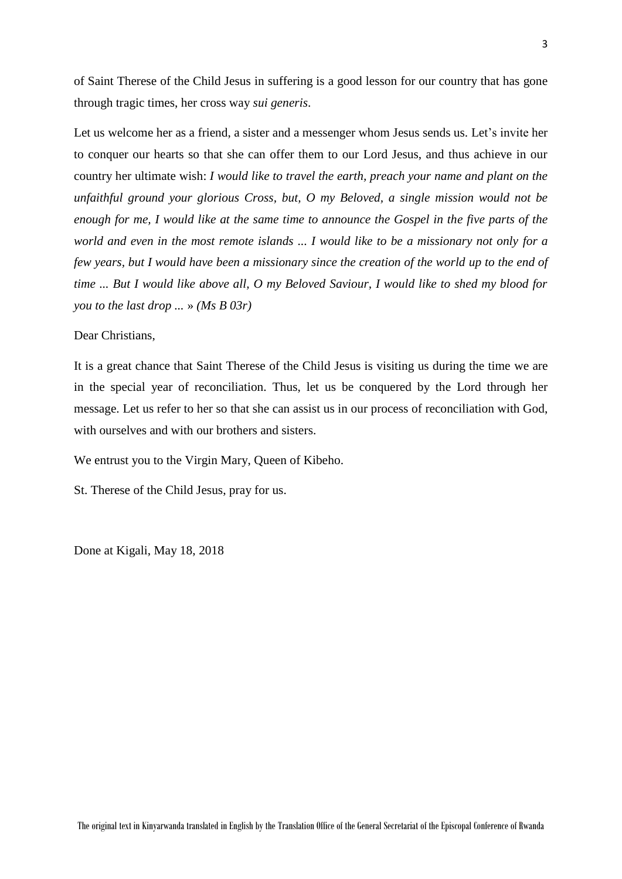of Saint Therese of the Child Jesus in suffering is a good lesson for our country that has gone through tragic times, her cross way *sui generis*.

Let us welcome her as a friend, a sister and a messenger whom Jesus sends us. Let's invite her to conquer our hearts so that she can offer them to our Lord Jesus, and thus achieve in our country her ultimate wish: *I would like to travel the earth, preach your name and plant on the unfaithful ground your glorious Cross, but, O my Beloved, a single mission would not be enough for me, I would like at the same time to announce the Gospel in the five parts of the world and even in the most remote islands ... I would like to be a missionary not only for a few years, but I would have been a missionary since the creation of the world up to the end of time ... But I would like above all, O my Beloved Saviour, I would like to shed my blood for you to the last drop ...* » *(Ms B 03r)*

#### Dear Christians,

It is a great chance that Saint Therese of the Child Jesus is visiting us during the time we are in the special year of reconciliation. Thus, let us be conquered by the Lord through her message. Let us refer to her so that she can assist us in our process of reconciliation with God, with ourselves and with our brothers and sisters.

We entrust you to the Virgin Mary, Queen of Kibeho.

St. Therese of the Child Jesus, pray for us.

Done at Kigali, May 18, 2018